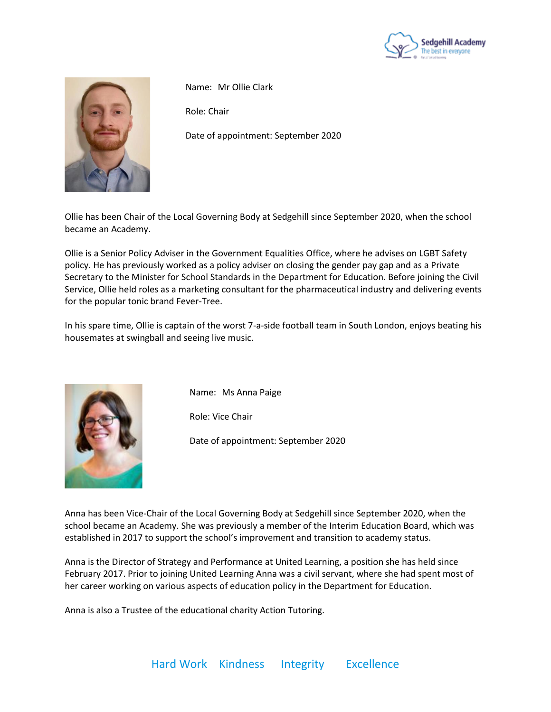



Name: Mr Ollie Clark

Role: Chair

Date of appointment: September 2020

Ollie has been Chair of the Local Governing Body at Sedgehill since September 2020, when the school became an Academy.

Ollie is a Senior Policy Adviser in the Government Equalities Office, where he advises on LGBT Safety policy. He has previously worked as a policy adviser on closing the gender pay gap and as a Private Secretary to the Minister for School Standards in the Department for Education. Before joining the Civil Service, Ollie held roles as a marketing consultant for the pharmaceutical industry and delivering events for the popular tonic brand Fever-Tree.

In his spare time, Ollie is captain of the worst 7-a-side football team in South London, enjoys beating his housemates at swingball and seeing live music.



Name: Ms Anna Paige

Role: Vice Chair

Date of appointment: September 2020

Anna has been Vice-Chair of the Local Governing Body at Sedgehill since September 2020, when the school became an Academy. She was previously a member of the Interim Education Board, which was established in 2017 to support the school's improvement and transition to academy status.

Anna is the Director of Strategy and Performance at United Learning, a position she has held since February 2017. Prior to joining United Learning Anna was a civil servant, where she had spent most of her career working on various aspects of education policy in the Department for Education.

Anna is also a Trustee of the educational charity Action Tutoring.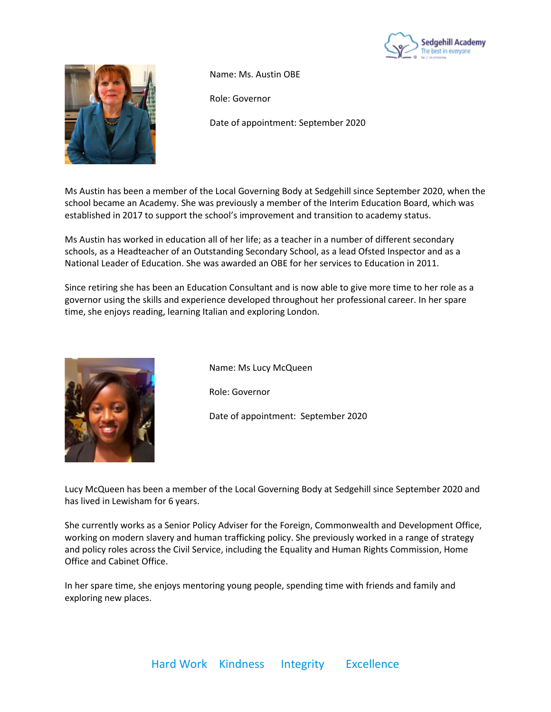



Name: Ms. Austin OBE

Role: Governor

Date of appointment: September 2020

Ms Austin has been a member of the Local Governing Body at Sedgehill since September 2020, when the school became an Academy. She was previously a member of the Interim Education Board, which was established in 2017 to support the school's improvement and transition to academy status.

Ms Austin has worked in education all of her life; as a teacher in a number of different secondary schools, as a Headteacher of an Outstanding Secondary School, as a lead Ofsted Inspector and as a National Leader of Education. She was awarded an OBE for her services to Education in 2011.

Since retiring she has been an Education Consultant and is now able to give more time to her role as a governor using the skills and experience developed throughout her professional career. In her spare time, she enjoys reading, learning Italian and exploring London.



Name: Ms Lucy McQueen

Role: Governor

Date of appointment: September 2020

Lucy McQueen has been a member of the Local Governing Body at Sedgehill since September 2020 and has lived in Lewisham for 6 years.

She currently works as a Senior Policy Adviser for the Foreign, Commonwealth and Development Office, working on modern slavery and human trafficking policy. She previously worked in a range of strategy and policy roles across the Civil Service, including the Equality and Human Rights Commission, Home Office and Cabinet Office.

In her spare time, she enjoys mentoring young people, spending time with friends and family and exploring new places.